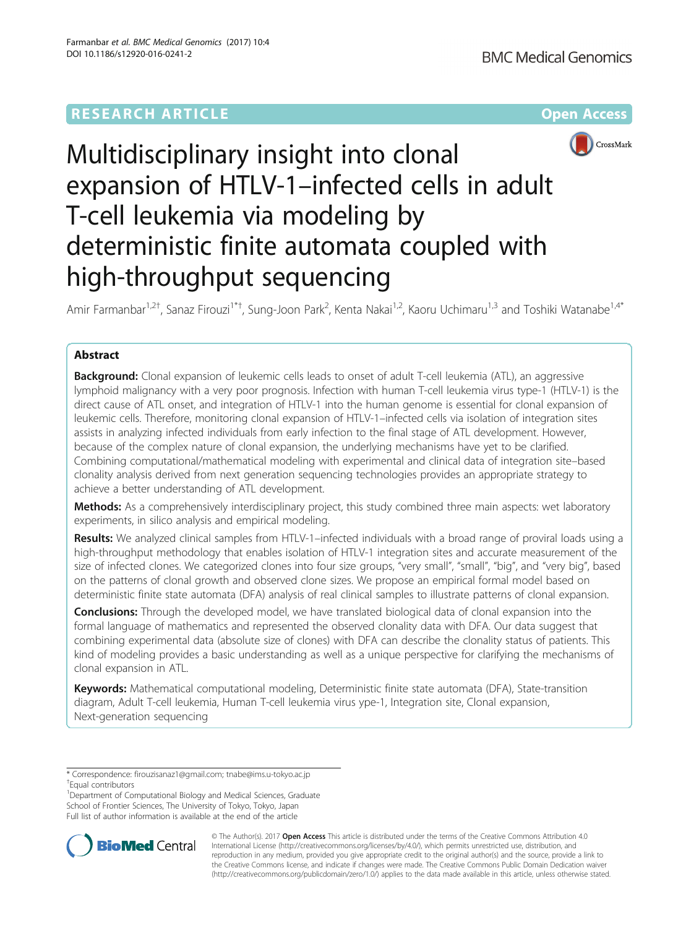# **RESEARCH ARTICLE Example 2014 12:30 The Company Access** (RESEARCH ARTICLE



# Multidisciplinary insight into clonal expansion of HTLV-1–infected cells in adult T-cell leukemia via modeling by deterministic finite automata coupled with high-throughput sequencing

Amir Farmanbar<sup>1,2†</sup>, Sanaz Firouzi<sup>1\*†</sup>, Sung-Joon Park<sup>2</sup>, Kenta Nakai<sup>1,2</sup>, Kaoru Uchimaru<sup>1,3</sup> and Toshiki Watanabe<sup>1,4\*</sup>

# Abstract

Background: Clonal expansion of leukemic cells leads to onset of adult T-cell leukemia (ATL), an aggressive lymphoid malignancy with a very poor prognosis. Infection with human T-cell leukemia virus type-1 (HTLV-1) is the direct cause of ATL onset, and integration of HTLV-1 into the human genome is essential for clonal expansion of leukemic cells. Therefore, monitoring clonal expansion of HTLV-1–infected cells via isolation of integration sites assists in analyzing infected individuals from early infection to the final stage of ATL development. However, because of the complex nature of clonal expansion, the underlying mechanisms have yet to be clarified. Combining computational/mathematical modeling with experimental and clinical data of integration site–based clonality analysis derived from next generation sequencing technologies provides an appropriate strategy to achieve a better understanding of ATL development.

Methods: As a comprehensively interdisciplinary project, this study combined three main aspects: wet laboratory experiments, in silico analysis and empirical modeling.

Results: We analyzed clinical samples from HTLV-1–infected individuals with a broad range of proviral loads using a high-throughput methodology that enables isolation of HTLV-1 integration sites and accurate measurement of the size of infected clones. We categorized clones into four size groups, "very small", "small", "big", and "very big", based on the patterns of clonal growth and observed clone sizes. We propose an empirical formal model based on deterministic finite state automata (DFA) analysis of real clinical samples to illustrate patterns of clonal expansion.

**Conclusions:** Through the developed model, we have translated biological data of clonal expansion into the formal language of mathematics and represented the observed clonality data with DFA. Our data suggest that combining experimental data (absolute size of clones) with DFA can describe the clonality status of patients. This kind of modeling provides a basic understanding as well as a unique perspective for clarifying the mechanisms of clonal expansion in ATL.

Keywords: Mathematical computational modeling, Deterministic finite state automata (DFA), State-transition diagram, Adult T-cell leukemia, Human T-cell leukemia virus ype-1, Integration site, Clonal expansion, Next-generation sequencing

Equal contributors

<sup>1</sup>Department of Computational Biology and Medical Sciences, Graduate School of Frontier Sciences, The University of Tokyo, Tokyo, Japan Full list of author information is available at the end of the article



© The Author(s). 2017 **Open Access** This article is distributed under the terms of the Creative Commons Attribution 4.0 International License [\(http://creativecommons.org/licenses/by/4.0/](http://creativecommons.org/licenses/by/4.0/)), which permits unrestricted use, distribution, and reproduction in any medium, provided you give appropriate credit to the original author(s) and the source, provide a link to the Creative Commons license, and indicate if changes were made. The Creative Commons Public Domain Dedication waiver [\(http://creativecommons.org/publicdomain/zero/1.0/](http://creativecommons.org/publicdomain/zero/1.0/)) applies to the data made available in this article, unless otherwise stated.

<sup>\*</sup> Correspondence: [firouzisanaz1@gmail.com](mailto:firouzisanaz1@gmail.com); [tnabe@ims.u-tokyo.ac.jp](mailto:tnabe@ims.u-tokyo.ac.jp) †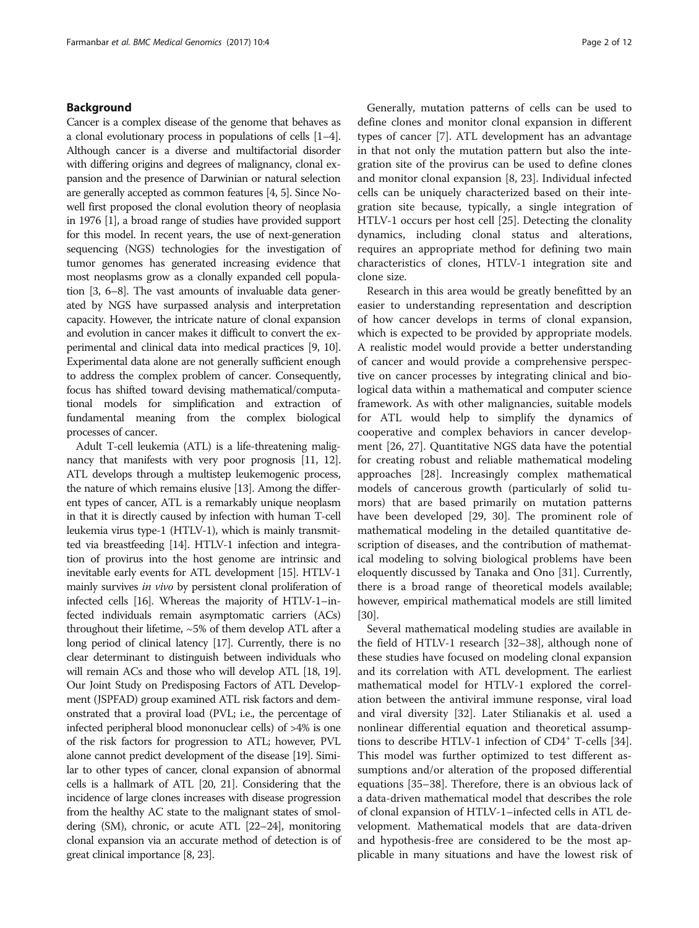# Background

Cancer is a complex disease of the genome that behaves as a clonal evolutionary process in populations of cells [\[1](#page-10-0)–[4](#page-10-0)]. Although cancer is a diverse and multifactorial disorder with differing origins and degrees of malignancy, clonal expansion and the presence of Darwinian or natural selection are generally accepted as common features [[4](#page-10-0), [5\]](#page-10-0). Since Nowell first proposed the clonal evolution theory of neoplasia in 1976 [\[1\]](#page-10-0), a broad range of studies have provided support for this model. In recent years, the use of next-generation sequencing (NGS) technologies for the investigation of tumor genomes has generated increasing evidence that most neoplasms grow as a clonally expanded cell population [\[3, 6](#page-10-0)–[8\]](#page-10-0). The vast amounts of invaluable data generated by NGS have surpassed analysis and interpretation capacity. However, the intricate nature of clonal expansion and evolution in cancer makes it difficult to convert the experimental and clinical data into medical practices [[9](#page-10-0), [10](#page-10-0)]. Experimental data alone are not generally sufficient enough to address the complex problem of cancer. Consequently, focus has shifted toward devising mathematical/computational models for simplification and extraction of fundamental meaning from the complex biological processes of cancer.

Adult T-cell leukemia (ATL) is a life-threatening malignancy that manifests with very poor prognosis [[11](#page-10-0), [12](#page-10-0)]. ATL develops through a multistep leukemogenic process, the nature of which remains elusive [\[13\]](#page-10-0). Among the different types of cancer, ATL is a remarkably unique neoplasm in that it is directly caused by infection with human T-cell leukemia virus type-1 (HTLV-1), which is mainly transmitted via breastfeeding [\[14\]](#page-10-0). HTLV-1 infection and integration of provirus into the host genome are intrinsic and inevitable early events for ATL development [\[15](#page-10-0)]. HTLV-1 mainly survives in vivo by persistent clonal proliferation of infected cells [[16](#page-10-0)]. Whereas the majority of HTLV-1–infected individuals remain asymptomatic carriers (ACs) throughout their lifetime, ~5% of them develop ATL after a long period of clinical latency [\[17\]](#page-10-0). Currently, there is no clear determinant to distinguish between individuals who will remain ACs and those who will develop ATL [\[18, 19](#page-10-0)]. Our Joint Study on Predisposing Factors of ATL Development (JSPFAD) group examined ATL risk factors and demonstrated that a proviral load (PVL; i.e., the percentage of infected peripheral blood mononuclear cells) of >4% is one of the risk factors for progression to ATL; however, PVL alone cannot predict development of the disease [\[19\]](#page-10-0). Similar to other types of cancer, clonal expansion of abnormal cells is a hallmark of ATL [\[20, 21](#page-10-0)]. Considering that the incidence of large clones increases with disease progression from the healthy AC state to the malignant states of smoldering (SM), chronic, or acute ATL [\[22](#page-10-0)–[24\]](#page-10-0), monitoring clonal expansion via an accurate method of detection is of great clinical importance [\[8, 23\]](#page-10-0).

Generally, mutation patterns of cells can be used to define clones and monitor clonal expansion in different types of cancer [[7\]](#page-10-0). ATL development has an advantage in that not only the mutation pattern but also the integration site of the provirus can be used to define clones and monitor clonal expansion [[8, 23\]](#page-10-0). Individual infected cells can be uniquely characterized based on their integration site because, typically, a single integration of HTLV-1 occurs per host cell [[25](#page-10-0)]. Detecting the clonality dynamics, including clonal status and alterations, requires an appropriate method for defining two main characteristics of clones, HTLV-1 integration site and clone size.

Research in this area would be greatly benefitted by an easier to understanding representation and description of how cancer develops in terms of clonal expansion, which is expected to be provided by appropriate models. A realistic model would provide a better understanding of cancer and would provide a comprehensive perspective on cancer processes by integrating clinical and biological data within a mathematical and computer science framework. As with other malignancies, suitable models for ATL would help to simplify the dynamics of cooperative and complex behaviors in cancer development [[26](#page-10-0), [27\]](#page-10-0). Quantitative NGS data have the potential for creating robust and reliable mathematical modeling approaches [\[28](#page-10-0)]. Increasingly complex mathematical models of cancerous growth (particularly of solid tumors) that are based primarily on mutation patterns have been developed [\[29](#page-10-0), [30](#page-11-0)]. The prominent role of mathematical modeling in the detailed quantitative description of diseases, and the contribution of mathematical modeling to solving biological problems have been eloquently discussed by Tanaka and Ono [[31\]](#page-11-0). Currently, there is a broad range of theoretical models available; however, empirical mathematical models are still limited [[30\]](#page-11-0).

Several mathematical modeling studies are available in the field of HTLV-1 research [[32](#page-11-0)–[38](#page-11-0)], although none of these studies have focused on modeling clonal expansion and its correlation with ATL development. The earliest mathematical model for HTLV-1 explored the correlation between the antiviral immune response, viral load and viral diversity [\[32](#page-11-0)]. Later Stilianakis et al. used a nonlinear differential equation and theoretical assump-tions to describe HTLV-1 infection of CD4<sup>+</sup> T-cells [\[34](#page-11-0)]. This model was further optimized to test different assumptions and/or alteration of the proposed differential equations [\[35](#page-11-0)–[38\]](#page-11-0). Therefore, there is an obvious lack of a data-driven mathematical model that describes the role of clonal expansion of HTLV-1–infected cells in ATL development. Mathematical models that are data-driven and hypothesis-free are considered to be the most applicable in many situations and have the lowest risk of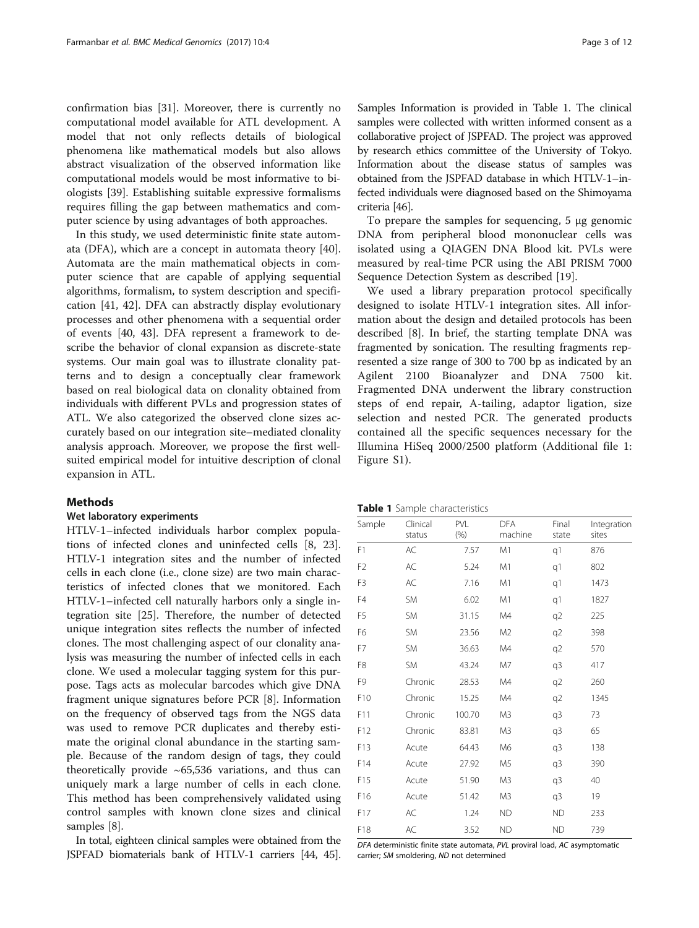<span id="page-2-0"></span>confirmation bias [\[31](#page-11-0)]. Moreover, there is currently no computational model available for ATL development. A model that not only reflects details of biological phenomena like mathematical models but also allows abstract visualization of the observed information like computational models would be most informative to biologists [\[39](#page-11-0)]. Establishing suitable expressive formalisms requires filling the gap between mathematics and computer science by using advantages of both approaches.

In this study, we used deterministic finite state automata (DFA), which are a concept in automata theory [\[40](#page-11-0)]. Automata are the main mathematical objects in computer science that are capable of applying sequential algorithms, formalism, to system description and specification [[41, 42\]](#page-11-0). DFA can abstractly display evolutionary processes and other phenomena with a sequential order of events [\[40](#page-11-0), [43\]](#page-11-0). DFA represent a framework to describe the behavior of clonal expansion as discrete-state systems. Our main goal was to illustrate clonality patterns and to design a conceptually clear framework based on real biological data on clonality obtained from individuals with different PVLs and progression states of ATL. We also categorized the observed clone sizes accurately based on our integration site–mediated clonality analysis approach. Moreover, we propose the first wellsuited empirical model for intuitive description of clonal expansion in ATL.

# **Methods**

#### Wet laboratory experiments

HTLV-1–infected individuals harbor complex populations of infected clones and uninfected cells [[8](#page-10-0), [23](#page-10-0)]. HTLV-1 integration sites and the number of infected cells in each clone (i.e., clone size) are two main characteristics of infected clones that we monitored. Each HTLV-1–infected cell naturally harbors only a single integration site [\[25](#page-10-0)]. Therefore, the number of detected unique integration sites reflects the number of infected clones. The most challenging aspect of our clonality analysis was measuring the number of infected cells in each clone. We used a molecular tagging system for this purpose. Tags acts as molecular barcodes which give DNA fragment unique signatures before PCR [[8](#page-10-0)]. Information on the frequency of observed tags from the NGS data was used to remove PCR duplicates and thereby estimate the original clonal abundance in the starting sample. Because of the random design of tags, they could theoretically provide  $~65,536$  variations, and thus can uniquely mark a large number of cells in each clone. This method has been comprehensively validated using control samples with known clone sizes and clinical samples [\[8](#page-10-0)].

In total, eighteen clinical samples were obtained from the JSPFAD biomaterials bank of HTLV-1 carriers [\[44, 45](#page-11-0)]. Samples Information is provided in Table 1. The clinical samples were collected with written informed consent as a collaborative project of JSPFAD. The project was approved by research ethics committee of the University of Tokyo. Information about the disease status of samples was obtained from the JSPFAD database in which HTLV-1–infected individuals were diagnosed based on the Shimoyama criteria [[46](#page-11-0)].

To prepare the samples for sequencing, 5 μg genomic DNA from peripheral blood mononuclear cells was isolated using a QIAGEN DNA Blood kit. PVLs were measured by real-time PCR using the ABI PRISM 7000 Sequence Detection System as described [\[19\]](#page-10-0).

We used a library preparation protocol specifically designed to isolate HTLV-1 integration sites. All information about the design and detailed protocols has been described [\[8](#page-10-0)]. In brief, the starting template DNA was fragmented by sonication. The resulting fragments represented a size range of 300 to 700 bp as indicated by an Agilent 2100 Bioanalyzer and DNA 7500 kit. Fragmented DNA underwent the library construction steps of end repair, A-tailing, adaptor ligation, size selection and nested PCR. The generated products contained all the specific sequences necessary for the Illumina HiSeq 2000/2500 platform (Additional file [1](#page-9-0): Figure S1).

| Sample          | Clinical<br>status | PVI<br>$(\%)$ | <b>DFA</b><br>machine | Final<br>state | Integration<br>sites |
|-----------------|--------------------|---------------|-----------------------|----------------|----------------------|
| F1              | AC                 | 7.57          | M1                    | q1             | 876                  |
| F <sub>2</sub>  | AC                 | 5.24          | M1                    | q1             | 802                  |
| F3              | AC                 | 7.16          | M1                    | q1             | 1473                 |
| F4              | <b>SM</b>          | 6.02          | M1                    | q1             | 1827                 |
| F <sub>5</sub>  | <b>SM</b>          | 31.15         | M4                    | q2             | 225                  |
| F6              | <b>SM</b>          | 23.56         | M <sub>2</sub>        | q2             | 398                  |
| F7              | <b>SM</b>          | 36.63         | M4                    | q2             | 570                  |
| F8              | <b>SM</b>          | 43.24         | M7                    | q3             | 417                  |
| F <sub>9</sub>  | Chronic            | 28.53         | M4                    | q2             | 260                  |
| F10             | Chronic            | 15.25         | M4                    | q2             | 1345                 |
| F11             | Chronic            | 100.70        | M3                    | q3             | 73                   |
| F12             | Chronic            | 83.81         | M3                    | q3             | 65                   |
| F13             | Acute              | 64.43         | M <sub>6</sub>        | q3             | 138                  |
| F14             | Acute              | 27.92         | M <sub>5</sub>        | q3             | 390                  |
| F <sub>15</sub> | Acute              | 51.90         | M3                    | q3             | 40                   |
| F16             | Acute              | 51.42         | M3                    | q3             | 19                   |
| F17             | AC                 | 1.24          | <b>ND</b>             | <b>ND</b>      | 233                  |
| F18             | AC                 | 3.52          | <b>ND</b>             | <b>ND</b>      | 739                  |

DFA deterministic finite state automata, PVL proviral load, AC asymptomatic carrier; SM smoldering, ND not determined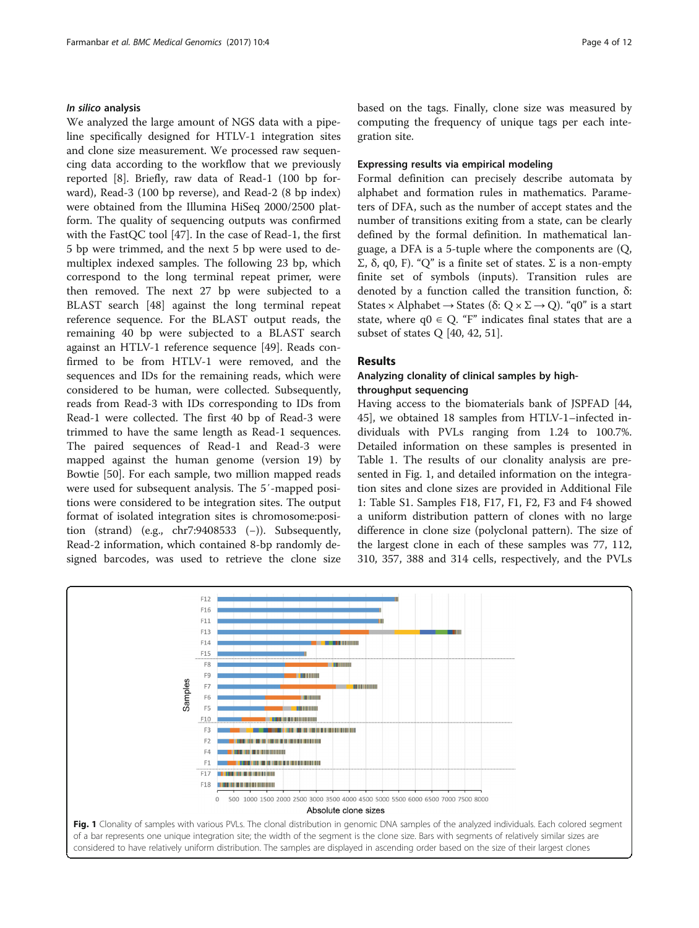# <span id="page-3-0"></span>In silico analysis

We analyzed the large amount of NGS data with a pipeline specifically designed for HTLV-1 integration sites and clone size measurement. We processed raw sequencing data according to the workflow that we previously reported [[8\]](#page-10-0). Briefly, raw data of Read-1 (100 bp forward), Read-3 (100 bp reverse), and Read-2 (8 bp index) were obtained from the Illumina HiSeq 2000/2500 platform. The quality of sequencing outputs was confirmed with the FastQC tool [[47\]](#page-11-0). In the case of Read-1, the first 5 bp were trimmed, and the next 5 bp were used to demultiplex indexed samples. The following 23 bp, which correspond to the long terminal repeat primer, were then removed. The next 27 bp were subjected to a BLAST search [[48\]](#page-11-0) against the long terminal repeat reference sequence. For the BLAST output reads, the remaining 40 bp were subjected to a BLAST search against an HTLV-1 reference sequence [[49](#page-11-0)]. Reads confirmed to be from HTLV-1 were removed, and the sequences and IDs for the remaining reads, which were considered to be human, were collected. Subsequently, reads from Read-3 with IDs corresponding to IDs from Read-1 were collected. The first 40 bp of Read-3 were trimmed to have the same length as Read-1 sequences. The paired sequences of Read-1 and Read-3 were mapped against the human genome (version 19) by Bowtie [\[50\]](#page-11-0). For each sample, two million mapped reads were used for subsequent analysis. The 5′-mapped positions were considered to be integration sites. The output format of isolated integration sites is chromosome:position (strand) (e.g.,  $chr7:9408533$  (-)). Subsequently, Read-2 information, which contained 8-bp randomly designed barcodes, was used to retrieve the clone size based on the tags. Finally, clone size was measured by computing the frequency of unique tags per each integration site.

# Expressing results via empirical modeling

Formal definition can precisely describe automata by alphabet and formation rules in mathematics. Parameters of DFA, such as the number of accept states and the number of transitions exiting from a state, can be clearly defined by the formal definition. In mathematical language, a DFA is a 5-tuple where the components are (Q, Σ, δ, q0, F). "Q" is a finite set of states. Σ is a non-empty finite set of symbols (inputs). Transition rules are denoted by a function called the transition function, δ: States × Alphabet  $\rightarrow$  States ( $\delta$ : Q ×  $\Sigma \rightarrow$  Q). "q0" is a start state, where  $q0 \in Q$ . "F" indicates final states that are a subset of states Q [[40](#page-11-0), [42](#page-11-0), [51](#page-11-0)].

# Results

# Analyzing clonality of clinical samples by highthroughput sequencing

Having access to the biomaterials bank of JSPFAD [[44](#page-11-0), [45\]](#page-11-0), we obtained 18 samples from HTLV-1–infected individuals with PVLs ranging from 1.24 to 100.7%. Detailed information on these samples is presented in Table [1.](#page-2-0) The results of our clonality analysis are presented in Fig. 1, and detailed information on the integration sites and clone sizes are provided in Additional File [1:](#page-9-0) Table S1. Samples F18, F17, F1, F2, F3 and F4 showed a uniform distribution pattern of clones with no large difference in clone size (polyclonal pattern). The size of the largest clone in each of these samples was 77, 112, 310, 357, 388 and 314 cells, respectively, and the PVLs

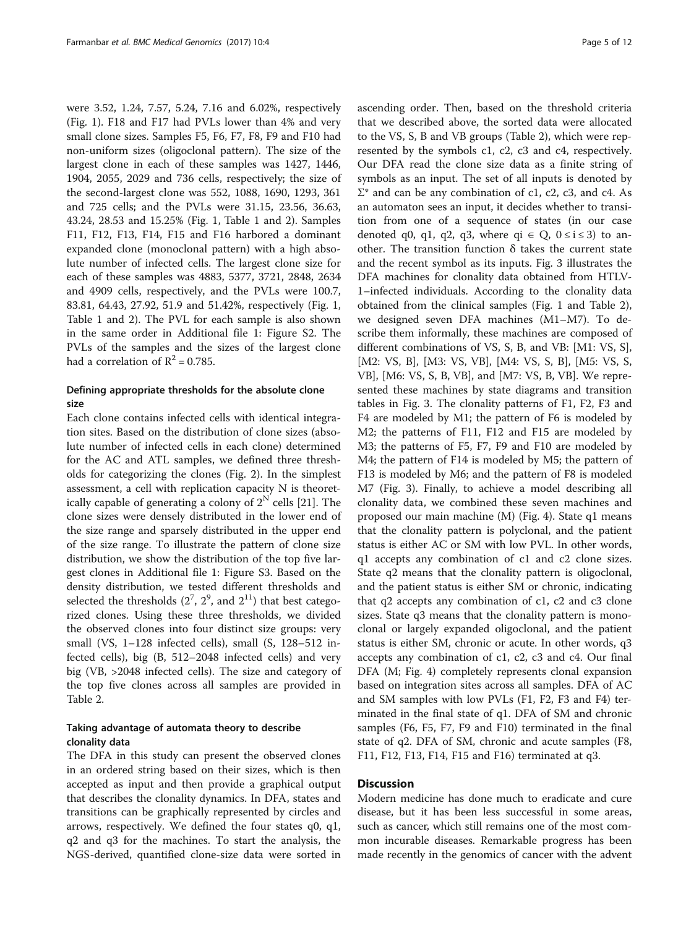were 3.52, 1.24, 7.57, 5.24, 7.16 and 6.02%, respectively (Fig. [1\)](#page-3-0). F18 and F17 had PVLs lower than 4% and very small clone sizes. Samples F5, F6, F7, F8, F9 and F10 had non-uniform sizes (oligoclonal pattern). The size of the largest clone in each of these samples was 1427, 1446, 1904, 2055, 2029 and 736 cells, respectively; the size of the second-largest clone was 552, 1088, 1690, 1293, 361 and 725 cells; and the PVLs were 31.15, 23.56, 36.63, 43.24, 28.53 and 15.25% (Fig. [1,](#page-3-0) Table [1](#page-2-0) and [2](#page-5-0)). Samples F11, F12, F13, F14, F15 and F16 harbored a dominant expanded clone (monoclonal pattern) with a high absolute number of infected cells. The largest clone size for each of these samples was 4883, 5377, 3721, 2848, 2634 and 4909 cells, respectively, and the PVLs were 100.7, 83.81, 64.43, 27.92, 51.9 and 51.42%, respectively (Fig. [1](#page-3-0), Table [1](#page-2-0) and [2\)](#page-5-0). The PVL for each sample is also shown in the same order in Additional file [1:](#page-9-0) Figure S2. The PVLs of the samples and the sizes of the largest clone had a correlation of  $\mathbb{R}^2$  = 0.785.

# Defining appropriate thresholds for the absolute clone size

Each clone contains infected cells with identical integration sites. Based on the distribution of clone sizes (absolute number of infected cells in each clone) determined for the AC and ATL samples, we defined three thresholds for categorizing the clones (Fig. [2\)](#page-6-0). In the simplest assessment, a cell with replication capacity N is theoretically capable of generating a colony of  $2^N$  cells [\[21](#page-10-0)]. The clone sizes were densely distributed in the lower end of the size range and sparsely distributed in the upper end of the size range. To illustrate the pattern of clone size distribution, we show the distribution of the top five largest clones in Additional file [1](#page-9-0): Figure S3. Based on the density distribution, we tested different thresholds and selected the thresholds  $(2^7, 2^9,$  and  $2^{11})$  that best categorized clones. Using these three thresholds, we divided the observed clones into four distinct size groups: very small (VS, 1–128 infected cells), small (S, 128–512 infected cells), big (B, 512–2048 infected cells) and very big (VB, >2048 infected cells). The size and category of the top five clones across all samples are provided in Table [2.](#page-5-0)

# Taking advantage of automata theory to describe clonality data

The DFA in this study can present the observed clones in an ordered string based on their sizes, which is then accepted as input and then provide a graphical output that describes the clonality dynamics. In DFA, states and transitions can be graphically represented by circles and arrows, respectively. We defined the four states q0, q1, q2 and q3 for the machines. To start the analysis, the NGS-derived, quantified clone-size data were sorted in ascending order. Then, based on the threshold criteria that we described above, the sorted data were allocated to the VS, S, B and VB groups (Table [2](#page-5-0)), which were represented by the symbols c1, c2, c3 and c4, respectively. Our DFA read the clone size data as a finite string of symbols as an input. The set of all inputs is denoted by  $\Sigma^*$  and can be any combination of c1, c2, c3, and c4. As an automaton sees an input, it decides whether to transition from one of a sequence of states (in our case denoted q0, q1, q2, q3, where qi  $\in$  Q,  $0 \le i \le 3$ ) to another. The transition function δ takes the current state and the recent symbol as its inputs. Fig. [3](#page-7-0) illustrates the DFA machines for clonality data obtained from HTLV-1–infected individuals. According to the clonality data obtained from the clinical samples (Fig. [1](#page-3-0) and Table [2](#page-5-0)), we designed seven DFA machines (M1–M7). To describe them informally, these machines are composed of different combinations of VS, S, B, and VB: [M1: VS, S], [M2: VS, B], [M3: VS, VB], [M4: VS, S, B], [M5: VS, S, VB], [M6: VS, S, B, VB], and [M7: VS, B, VB]. We represented these machines by state diagrams and transition tables in Fig. [3](#page-7-0). The clonality patterns of F1, F2, F3 and F4 are modeled by M1; the pattern of F6 is modeled by M2; the patterns of F11, F12 and F15 are modeled by M3; the patterns of F5, F7, F9 and F10 are modeled by M4; the pattern of F14 is modeled by M5; the pattern of F13 is modeled by M6; and the pattern of F8 is modeled M7 (Fig. [3\)](#page-7-0). Finally, to achieve a model describing all clonality data, we combined these seven machines and proposed our main machine (M) (Fig. [4\)](#page-8-0). State q1 means that the clonality pattern is polyclonal, and the patient status is either AC or SM with low PVL. In other words, q1 accepts any combination of c1 and c2 clone sizes. State q2 means that the clonality pattern is oligoclonal, and the patient status is either SM or chronic, indicating that q2 accepts any combination of c1, c2 and c3 clone sizes. State q3 means that the clonality pattern is monoclonal or largely expanded oligoclonal, and the patient status is either SM, chronic or acute. In other words, q3 accepts any combination of c1, c2, c3 and c4. Our final DFA (M; Fig. [4\)](#page-8-0) completely represents clonal expansion based on integration sites across all samples. DFA of AC and SM samples with low PVLs (F1, F2, F3 and F4) terminated in the final state of q1. DFA of SM and chronic samples (F6, F5, F7, F9 and F10) terminated in the final state of q2. DFA of SM, chronic and acute samples (F8, F11, F12, F13, F14, F15 and F16) terminated at q3.

### **Discussion**

Modern medicine has done much to eradicate and cure disease, but it has been less successful in some areas, such as cancer, which still remains one of the most common incurable diseases. Remarkable progress has been made recently in the genomics of cancer with the advent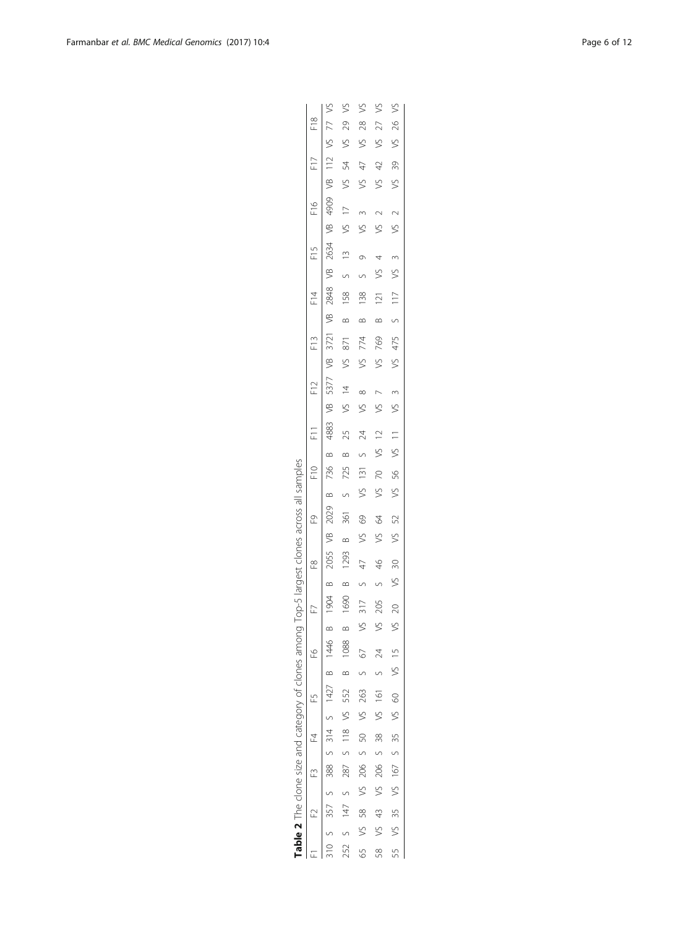<span id="page-5-0"></span>

|                                                     |                 |                                                              |                                             | $\leq$               |                       |                                    |
|-----------------------------------------------------|-----------------|--------------------------------------------------------------|---------------------------------------------|----------------------|-----------------------|------------------------------------|
|                                                     | $\frac{8}{10}$  |                                                              |                                             | 28                   | 27 VS                 |                                    |
|                                                     |                 |                                                              |                                             | $\frac{1}{2}$        | $\geq$                | VS 26 VS                           |
|                                                     |                 |                                                              |                                             | $\overline{4}$       | 42                    | 39                                 |
|                                                     |                 |                                                              |                                             | $\Im$                | $\Im$                 | $\heartsuit$                       |
|                                                     | $\frac{6}{16}$  |                                                              |                                             | $\infty$             |                       | $\sim$                             |
|                                                     |                 |                                                              |                                             | $\leq$               | $\leq$                | $\leq$                             |
|                                                     | F <sub>15</sub> |                                                              | S 13 VS 17 VS 54 VS 29 VS                   |                      | $\overline{a}$        |                                    |
|                                                     |                 |                                                              |                                             |                      |                       |                                    |
|                                                     | F14             |                                                              | 158                                         | 138                  | 121                   | $5$ $117$ $V5$ 3                   |
|                                                     |                 |                                                              |                                             | $\infty$             |                       |                                    |
|                                                     | F13             |                                                              |                                             | VS 774               | 769                   | VS 475                             |
|                                                     |                 |                                                              |                                             |                      |                       |                                    |
|                                                     | F <sub>12</sub> |                                                              |                                             | $\infty$             |                       |                                    |
|                                                     |                 |                                                              |                                             | $\leq$               |                       |                                    |
|                                                     | F <sub>1</sub>  | 4883 VB 5377 VB 3721 VB 2848 VB 2634 VB 4909 VB 112 VS 77 VS |                                             | 24                   | 70 VS 12 VS           |                                    |
|                                                     |                 |                                                              |                                             |                      |                       |                                    |
|                                                     |                 | 736 B                                                        |                                             | 131 S                |                       |                                    |
|                                                     |                 |                                                              |                                             |                      | $\frac{1}{2}$         |                                    |
|                                                     | £               |                                                              |                                             | 69 VS                | 8                     |                                    |
|                                                     |                 |                                                              |                                             |                      | $\leq$                |                                    |
| g Top-5 largest clones across all samples           | $\frac{8}{5}$   | 1904 B 2055 VB 2029 B                                        | 1690 B 1293 B 361 S 725 B 25 VS 14 VS 871 B | 47 VS                | $\frac{4}{6}$         | VS 20 VS 30 VS 52 VS 56 VS 11 VS 3 |
|                                                     |                 |                                                              |                                             |                      |                       |                                    |
|                                                     | F7              |                                                              |                                             | 317S                 | 205                   |                                    |
|                                                     |                 |                                                              | $\infty$                                    | S                    | S                     |                                    |
| Table 2 The clone size and category of clones among | FK              | 446                                                          | 1088                                        | 67                   |                       |                                    |
|                                                     |                 |                                                              |                                             |                      |                       |                                    |
|                                                     |                 | 1427 B                                                       |                                             | 263                  |                       | VS 35 VS 167 S 35 VS 60 VS 15      |
|                                                     |                 |                                                              |                                             |                      |                       |                                    |
|                                                     |                 | $388$ S $314$ S                                              | 252 S 147 S 287 S 118 VS 552                | VS 58 VS 206 S 50 VS | 43 VS 206 S 38 VS 161 |                                    |
|                                                     |                 |                                                              |                                             |                      |                       |                                    |
|                                                     |                 |                                                              |                                             |                      |                       |                                    |
|                                                     |                 |                                                              |                                             |                      |                       |                                    |
|                                                     |                 | 357                                                          |                                             |                      |                       |                                    |
|                                                     |                 |                                                              |                                             |                      |                       |                                    |
|                                                     |                 |                                                              |                                             | 65                   | 58                    | 55                                 |

|   | í                                    |                                                                |
|---|--------------------------------------|----------------------------------------------------------------|
|   |                                      |                                                                |
|   | i<br>١                               |                                                                |
|   | I                                    |                                                                |
|   | ;<br>;                               |                                                                |
|   |                                      |                                                                |
|   | ֖֖֖֦֧֢ׅ֚֚֚֚֚֚֚֬<br>ļ                 |                                                                |
|   |                                      |                                                                |
|   |                                      |                                                                |
|   | i                                    |                                                                |
|   |                                      | ֖֖֖֖ׅ֖֧֖֖֧֧֖֚֚֚֚֚֚֚֚֚֚֚֚֚֚֚֚֚֚֚֚֚֚֚֚֚֚֚֡֡֬֡֡֡֡֬֝֝֓֞֡֡֬֝֞֝֓֞֝֞֞ |
|   |                                      |                                                                |
| Ï | $\frac{1}{2}$                        |                                                                |
|   | į                                    |                                                                |
| I | İ<br>ĺ                               |                                                                |
|   |                                      |                                                                |
|   |                                      |                                                                |
|   | İ                                    |                                                                |
|   |                                      |                                                                |
|   | <b>C</b> CHO C                       |                                                                |
|   | $\frac{1}{2}$<br>i                   |                                                                |
|   | $\overline{ }$                       |                                                                |
|   |                                      |                                                                |
|   | こく こくこく<br>)                         |                                                                |
|   |                                      |                                                                |
|   | I                                    |                                                                |
|   | J                                    |                                                                |
|   |                                      |                                                                |
|   | in all anticipation<br>; ) ; ) ; ) : |                                                                |
|   |                                      |                                                                |
|   |                                      |                                                                |
|   | i                                    |                                                                |
|   | $\frac{1}{2}$                        |                                                                |
|   |                                      |                                                                |
|   | $\vdots$                             |                                                                |
|   |                                      |                                                                |
|   | l                                    |                                                                |
|   |                                      |                                                                |
|   |                                      |                                                                |
| ſ | I                                    |                                                                |
|   |                                      |                                                                |
|   |                                      |                                                                |
| ı | I<br>ï                               |                                                                |
|   |                                      |                                                                |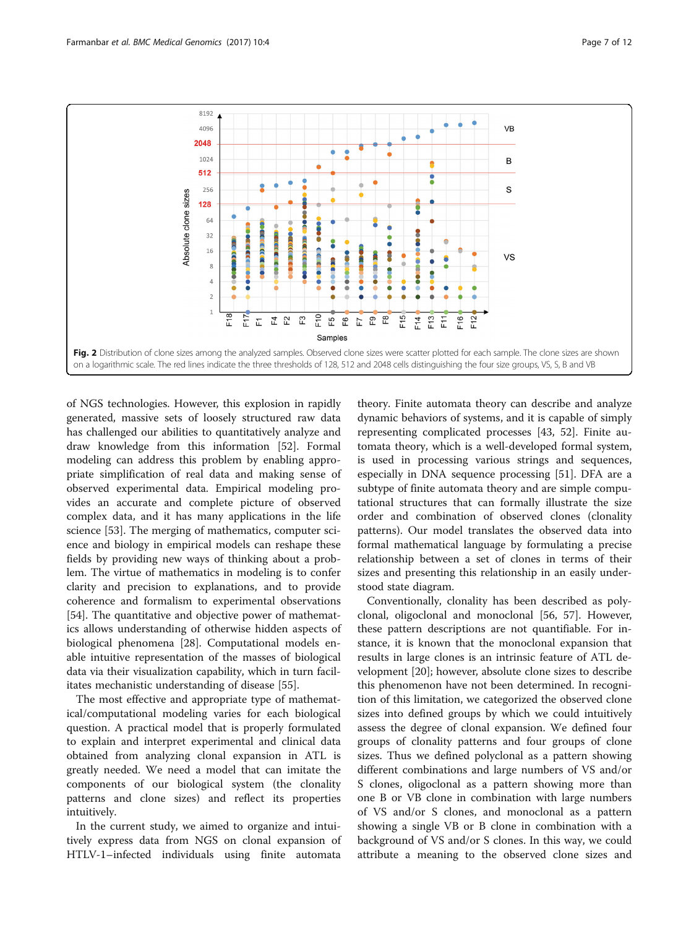<span id="page-6-0"></span>

of NGS technologies. However, this explosion in rapidly generated, massive sets of loosely structured raw data has challenged our abilities to quantitatively analyze and draw knowledge from this information [[52\]](#page-11-0). Formal modeling can address this problem by enabling appropriate simplification of real data and making sense of observed experimental data. Empirical modeling provides an accurate and complete picture of observed complex data, and it has many applications in the life science [\[53\]](#page-11-0). The merging of mathematics, computer science and biology in empirical models can reshape these fields by providing new ways of thinking about a problem. The virtue of mathematics in modeling is to confer clarity and precision to explanations, and to provide coherence and formalism to experimental observations [[54\]](#page-11-0). The quantitative and objective power of mathematics allows understanding of otherwise hidden aspects of biological phenomena [[28\]](#page-10-0). Computational models enable intuitive representation of the masses of biological data via their visualization capability, which in turn facilitates mechanistic understanding of disease [\[55\]](#page-11-0).

The most effective and appropriate type of mathematical/computational modeling varies for each biological question. A practical model that is properly formulated to explain and interpret experimental and clinical data obtained from analyzing clonal expansion in ATL is greatly needed. We need a model that can imitate the components of our biological system (the clonality patterns and clone sizes) and reflect its properties intuitively.

In the current study, we aimed to organize and intuitively express data from NGS on clonal expansion of HTLV-1–infected individuals using finite automata

theory. Finite automata theory can describe and analyze dynamic behaviors of systems, and it is capable of simply representing complicated processes [[43, 52](#page-11-0)]. Finite automata theory, which is a well-developed formal system, is used in processing various strings and sequences, especially in DNA sequence processing [\[51\]](#page-11-0). DFA are a subtype of finite automata theory and are simple computational structures that can formally illustrate the size order and combination of observed clones (clonality patterns). Our model translates the observed data into formal mathematical language by formulating a precise relationship between a set of clones in terms of their sizes and presenting this relationship in an easily understood state diagram.

Conventionally, clonality has been described as polyclonal, oligoclonal and monoclonal [\[56, 57\]](#page-11-0). However, these pattern descriptions are not quantifiable. For instance, it is known that the monoclonal expansion that results in large clones is an intrinsic feature of ATL development [[20\]](#page-10-0); however, absolute clone sizes to describe this phenomenon have not been determined. In recognition of this limitation, we categorized the observed clone sizes into defined groups by which we could intuitively assess the degree of clonal expansion. We defined four groups of clonality patterns and four groups of clone sizes. Thus we defined polyclonal as a pattern showing different combinations and large numbers of VS and/or S clones, oligoclonal as a pattern showing more than one B or VB clone in combination with large numbers of VS and/or S clones, and monoclonal as a pattern showing a single VB or B clone in combination with a background of VS and/or S clones. In this way, we could attribute a meaning to the observed clone sizes and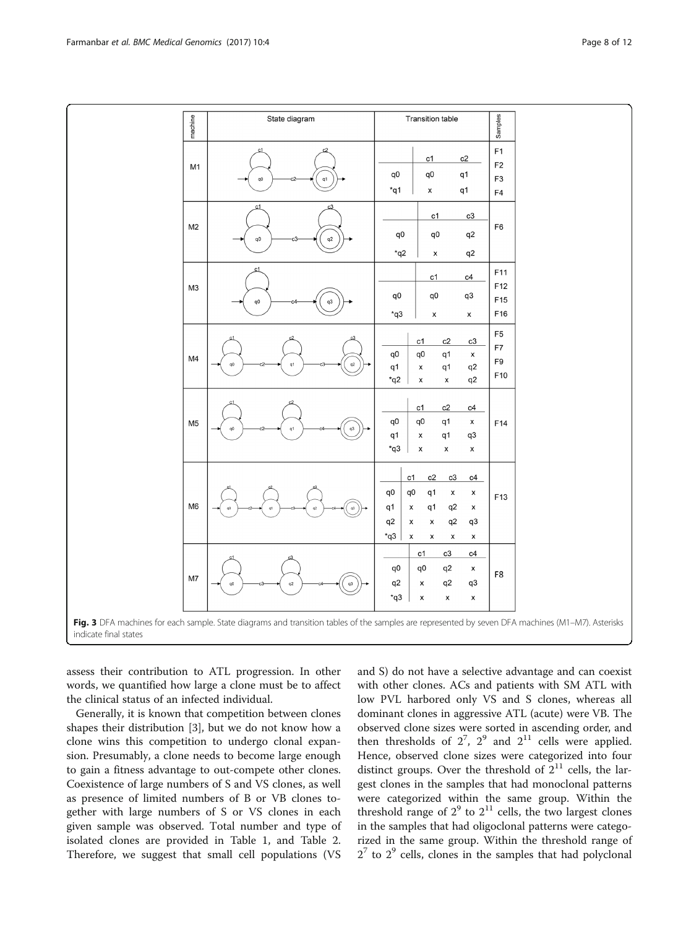assess their contribution to ATL progression. In other words, we quantified how large a clone must be to affect the clinical status of an infected individual.

Generally, it is known that competition between clones shapes their distribution [[3\]](#page-10-0), but we do not know how a clone wins this competition to undergo clonal expansion. Presumably, a clone needs to become large enough to gain a fitness advantage to out-compete other clones. Coexistence of large numbers of S and VS clones, as well as presence of limited numbers of B or VB clones together with large numbers of S or VS clones in each given sample was observed. Total number and type of isolated clones are provided in Table [1](#page-2-0), and Table [2](#page-5-0). Therefore, we suggest that small cell populations (VS

and S) do not have a selective advantage and can coexist with other clones. ACs and patients with SM ATL with low PVL harbored only VS and S clones, whereas all dominant clones in aggressive ATL (acute) were VB. The observed clone sizes were sorted in ascending order, and then thresholds of  $2^7$ ,  $2^9$  and  $2^{11}$  cells were applied. Hence, observed clone sizes were categorized into four distinct groups. Over the threshold of  $2^{11}$  cells, the largest clones in the samples that had monoclonal patterns were categorized within the same group. Within the threshold range of  $2^9$  to  $2^{11}$  cells, the two largest clones in the samples that had oligoclonal patterns were categorized in the same group. Within the threshold range of  $2<sup>7</sup>$  to  $2<sup>9</sup>$  cells, clones in the samples that had polyclonal



**Transition table** 

 $c<sub>1</sub>$ 

 $\alpha$ <sup>O</sup>

 $\mathbf{x}$ 

 $c<sub>1</sub>$ 

 $q<sub>0</sub>$ 

 $\alpha$ <sup>0</sup>

 $*q1$ 

q<sub>0</sub>

amples

F<sub>1</sub>

 $F<sub>2</sub>$ 

 $F3$ 

F4

F<sub>6</sub>

 $c2$ 

q1

 $q1$ 

 $c3$ 

 $q2$ 

<span id="page-7-0"></span>machine

 $M<sub>1</sub>$ 

 $M<sub>2</sub>$ 

State diagram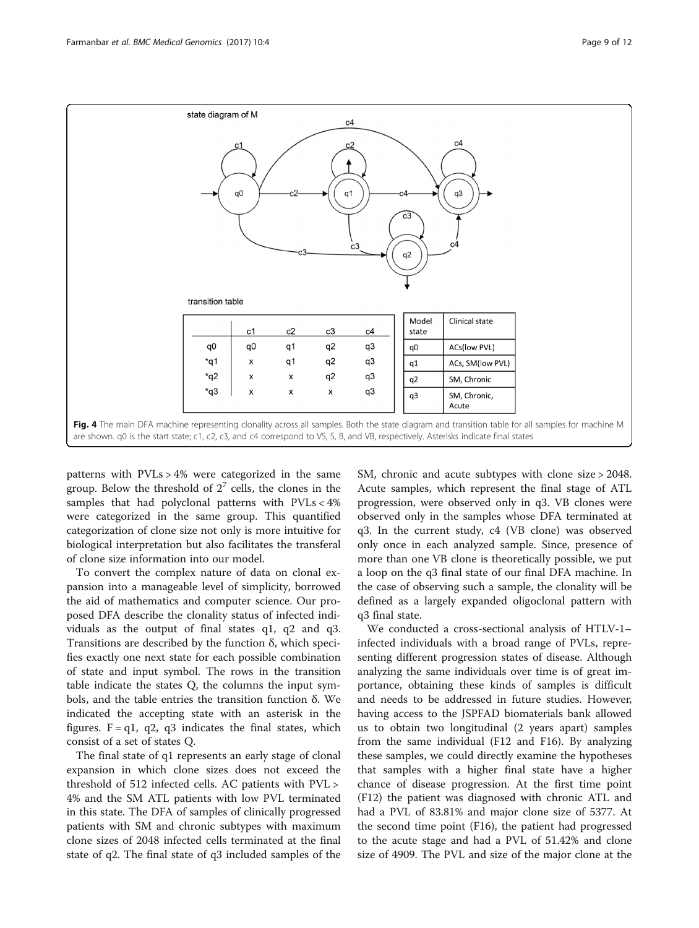<span id="page-8-0"></span>

patterns with PVLs > 4% were categorized in the same group. Below the threshold of  $2^7$  cells, the clones in the samples that had polyclonal patterns with PVLs < 4% were categorized in the same group. This quantified categorization of clone size not only is more intuitive for biological interpretation but also facilitates the transferal of clone size information into our model.

To convert the complex nature of data on clonal expansion into a manageable level of simplicity, borrowed the aid of mathematics and computer science. Our proposed DFA describe the clonality status of infected individuals as the output of final states q1, q2 and q3. Transitions are described by the function δ, which specifies exactly one next state for each possible combination of state and input symbol. The rows in the transition table indicate the states Q, the columns the input symbols, and the table entries the transition function δ. We indicated the accepting state with an asterisk in the figures.  $F = q1$ ,  $q2$ ,  $q3$  indicates the final states, which consist of a set of states Q.

The final state of q1 represents an early stage of clonal expansion in which clone sizes does not exceed the threshold of 512 infected cells. AC patients with PVL > 4% and the SM ATL patients with low PVL terminated in this state. The DFA of samples of clinically progressed patients with SM and chronic subtypes with maximum clone sizes of 2048 infected cells terminated at the final state of q2. The final state of q3 included samples of the

SM, chronic and acute subtypes with clone size > 2048. Acute samples, which represent the final stage of ATL progression, were observed only in q3. VB clones were observed only in the samples whose DFA terminated at q3. In the current study, c4 (VB clone) was observed only once in each analyzed sample. Since, presence of more than one VB clone is theoretically possible, we put a loop on the q3 final state of our final DFA machine. In the case of observing such a sample, the clonality will be defined as a largely expanded oligoclonal pattern with q3 final state.

We conducted a cross-sectional analysis of HTLV-1– infected individuals with a broad range of PVLs, representing different progression states of disease. Although analyzing the same individuals over time is of great importance, obtaining these kinds of samples is difficult and needs to be addressed in future studies. However, having access to the JSPFAD biomaterials bank allowed us to obtain two longitudinal (2 years apart) samples from the same individual (F12 and F16). By analyzing these samples, we could directly examine the hypotheses that samples with a higher final state have a higher chance of disease progression. At the first time point (F12) the patient was diagnosed with chronic ATL and had a PVL of 83.81% and major clone size of 5377. At the second time point (F16), the patient had progressed to the acute stage and had a PVL of 51.42% and clone size of 4909. The PVL and size of the major clone at the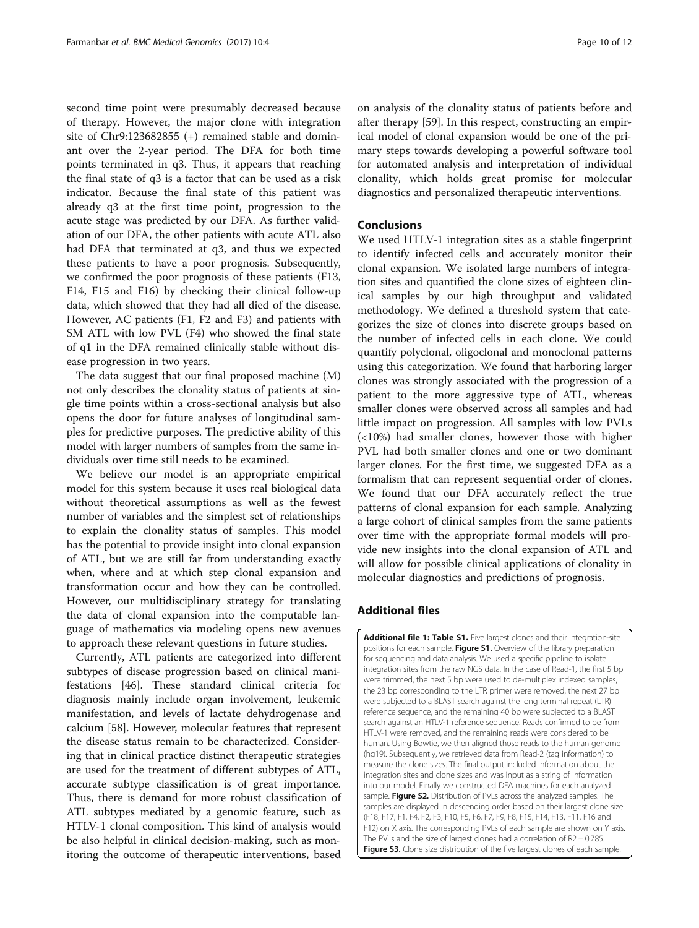<span id="page-9-0"></span>second time point were presumably decreased because of therapy. However, the major clone with integration site of Chr9:123682855 (+) remained stable and dominant over the 2-year period. The DFA for both time points terminated in q3. Thus, it appears that reaching the final state of q3 is a factor that can be used as a risk indicator. Because the final state of this patient was already q3 at the first time point, progression to the acute stage was predicted by our DFA. As further validation of our DFA, the other patients with acute ATL also had DFA that terminated at q3, and thus we expected these patients to have a poor prognosis. Subsequently, we confirmed the poor prognosis of these patients (F13, F14, F15 and F16) by checking their clinical follow-up data, which showed that they had all died of the disease. However, AC patients (F1, F2 and F3) and patients with SM ATL with low PVL (F4) who showed the final state of q1 in the DFA remained clinically stable without disease progression in two years.

The data suggest that our final proposed machine (M) not only describes the clonality status of patients at single time points within a cross-sectional analysis but also opens the door for future analyses of longitudinal samples for predictive purposes. The predictive ability of this model with larger numbers of samples from the same individuals over time still needs to be examined.

We believe our model is an appropriate empirical model for this system because it uses real biological data without theoretical assumptions as well as the fewest number of variables and the simplest set of relationships to explain the clonality status of samples. This model has the potential to provide insight into clonal expansion of ATL, but we are still far from understanding exactly when, where and at which step clonal expansion and transformation occur and how they can be controlled. However, our multidisciplinary strategy for translating the data of clonal expansion into the computable language of mathematics via modeling opens new avenues to approach these relevant questions in future studies.

Currently, ATL patients are categorized into different subtypes of disease progression based on clinical manifestations [[46](#page-11-0)]. These standard clinical criteria for diagnosis mainly include organ involvement, leukemic manifestation, and levels of lactate dehydrogenase and calcium [[58\]](#page-11-0). However, molecular features that represent the disease status remain to be characterized. Considering that in clinical practice distinct therapeutic strategies are used for the treatment of different subtypes of ATL, accurate subtype classification is of great importance. Thus, there is demand for more robust classification of ATL subtypes mediated by a genomic feature, such as HTLV-1 clonal composition. This kind of analysis would be also helpful in clinical decision-making, such as monitoring the outcome of therapeutic interventions, based

on analysis of the clonality status of patients before and after therapy [[59\]](#page-11-0). In this respect, constructing an empirical model of clonal expansion would be one of the primary steps towards developing a powerful software tool for automated analysis and interpretation of individual clonality, which holds great promise for molecular diagnostics and personalized therapeutic interventions.

# Conclusions

We used HTLV-1 integration sites as a stable fingerprint to identify infected cells and accurately monitor their clonal expansion. We isolated large numbers of integration sites and quantified the clone sizes of eighteen clinical samples by our high throughput and validated methodology. We defined a threshold system that categorizes the size of clones into discrete groups based on the number of infected cells in each clone. We could quantify polyclonal, oligoclonal and monoclonal patterns using this categorization. We found that harboring larger clones was strongly associated with the progression of a patient to the more aggressive type of ATL, whereas smaller clones were observed across all samples and had little impact on progression. All samples with low PVLs (<10%) had smaller clones, however those with higher PVL had both smaller clones and one or two dominant larger clones. For the first time, we suggested DFA as a formalism that can represent sequential order of clones. We found that our DFA accurately reflect the true patterns of clonal expansion for each sample. Analyzing a large cohort of clinical samples from the same patients over time with the appropriate formal models will provide new insights into the clonal expansion of ATL and will allow for possible clinical applications of clonality in molecular diagnostics and predictions of prognosis.

# Additional files

[Additional file 1: Table S1.](dx.doi.org/10.1186/s12920-016-0241-2) Five largest clones and their integration-site positions for each sample. Figure S1. Overview of the library preparation for sequencing and data analysis. We used a specific pipeline to isolate integration sites from the raw NGS data. In the case of Read-1, the first 5 bp were trimmed, the next 5 bp were used to de-multiplex indexed samples, the 23 bp corresponding to the LTR primer were removed, the next 27 bp were subjected to a BLAST search against the long terminal repeat (LTR) reference sequence, and the remaining 40 bp were subjected to a BLAST search against an HTLV-1 reference sequence. Reads confirmed to be from HTLV-1 were removed, and the remaining reads were considered to be human. Using Bowtie, we then aligned those reads to the human genome (hg19). Subsequently, we retrieved data from Read-2 (tag information) to measure the clone sizes. The final output included information about the integration sites and clone sizes and was input as a string of information into our model. Finally we constructed DFA machines for each analyzed sample. Figure S2. Distribution of PVLs across the analyzed samples. The samples are displayed in descending order based on their largest clone size. (F18, F17, F1, F4, F2, F3, F10, F5, F6, F7, F9, F8, F15, F14, F13, F11, F16 and F12) on X axis. The corresponding PVLs of each sample are shown on Y axis. The PVLs and the size of largest clones had a correlation of R2 = 0.785. Figure S3. Clone size distribution of the five largest clones of each sample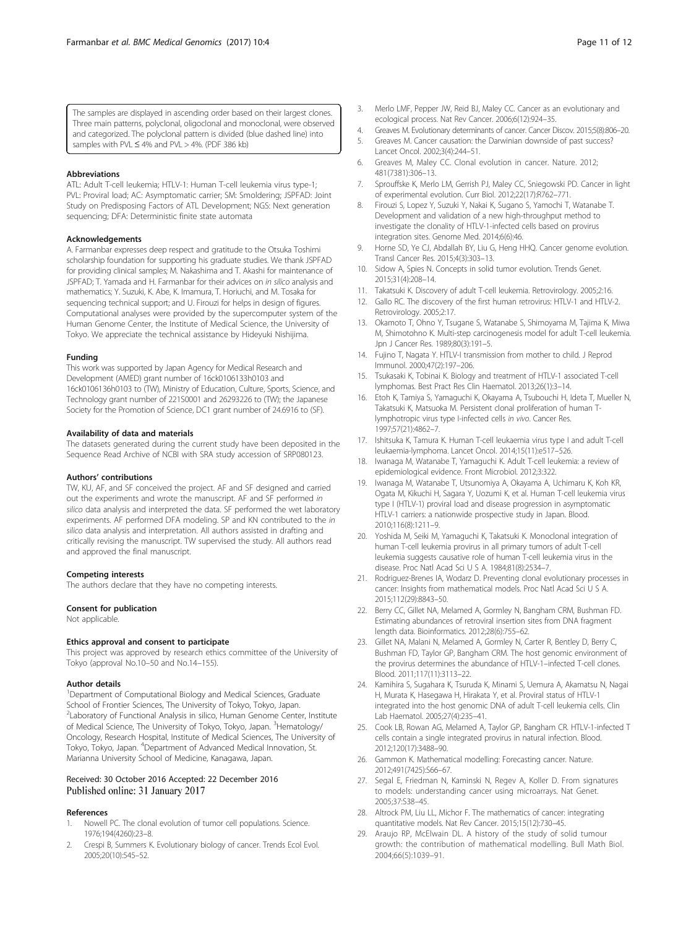<span id="page-10-0"></span>The samples are displayed in ascending order based on their largest clones. Three main patterns, polyclonal, oligoclonal and monoclonal, were observed and categorized. The polyclonal pattern is divided (blue dashed line) into samples with PVL  $\leq$  4% and PVL  $>$  4%. (PDF 386 kb)

#### Abbreviations

ATL: Adult T-cell leukemia; HTLV-1: Human T-cell leukemia virus type-1; PVL: Proviral load; AC: Asymptomatic carrier; SM: Smoldering; JSPFAD: Joint Study on Predisposing Factors of ATL Development; NGS: Next generation sequencing; DFA: Deterministic finite state automata

#### Acknowledgements

A. Farmanbar expresses deep respect and gratitude to the Otsuka Toshimi scholarship foundation for supporting his graduate studies. We thank JSPFAD for providing clinical samples; M. Nakashima and T. Akashi for maintenance of JSPFAD; T. Yamada and H. Farmanbar for their advices on in silico analysis and mathematics; Y. Suzuki, K. Abe, K. Imamura, T. Horiuchi, and M. Tosaka for sequencing technical support; and U. Firouzi for helps in design of figures. Computational analyses were provided by the supercomputer system of the Human Genome Center, the Institute of Medical Science, the University of Tokyo. We appreciate the technical assistance by Hideyuki Nishijima.

#### Funding

This work was supported by Japan Agency for Medical Research and Development (AMED) grant number of 16ck0106133h0103 and 16ck0106136h0103 to (TW), Ministry of Education, Culture, Sports, Science, and Technology grant number of 221S0001 and 26293226 to (TW); the Japanese Society for the Promotion of Science, DC1 grant number of 24.6916 to (SF).

#### Availability of data and materials

The datasets generated during the current study have been deposited in the Sequence Read Archive of NCBI with SRA study accession of SRP080123.

#### Authors' contributions

TW, KU, AF, and SF conceived the project. AF and SF designed and carried out the experiments and wrote the manuscript. AF and SF performed in silico data analysis and interpreted the data. SF performed the wet laboratory experiments. AF performed DFA modeling. SP and KN contributed to the in silico data analysis and interpretation. All authors assisted in drafting and critically revising the manuscript. TW supervised the study. All authors read and approved the final manuscript.

#### Competing interests

The authors declare that they have no competing interests.

#### Consent for publication

Not applicable.

#### Ethics approval and consent to participate

This project was approved by research ethics committee of the University of Tokyo (approval No.10–50 and No.14–155).

#### Author details

<sup>1</sup>Department of Computational Biology and Medical Sciences, Graduate School of Frontier Sciences, The University of Tokyo, Tokyo, Japan. 2 Laboratory of Functional Analysis in silico, Human Genome Center, Institute of Medical Science, The University of Tokyo, Tokyo, Japan. <sup>3</sup>Hematology/ Oncology, Research Hospital, Institute of Medical Sciences, The University of Tokyo, Tokyo, Japan. <sup>4</sup> Department of Advanced Medical Innovation, St. Marianna University School of Medicine, Kanagawa, Japan.

### Received: 30 October 2016 Accepted: 22 December 2016 Published online: 31 January 2017

### References

- 1. Nowell PC. The clonal evolution of tumor cell populations. Science. 1976;194(4260):23–8.
- 2. Crespi B, Summers K. Evolutionary biology of cancer. Trends Ecol Evol. 2005;20(10):545–52.
- 3. Merlo LMF, Pepper JW, Reid BJ, Maley CC. Cancer as an evolutionary and ecological process. Nat Rev Cancer. 2006;6(12):924–35.
- 4. Greaves M. Evolutionary determinants of cancer. Cancer Discov. 2015;5(8):806–20.
- 5. Greaves M. Cancer causation: the Darwinian downside of past success? Lancet Oncol. 2002;3(4):244–51.
- 6. Greaves M, Maley CC. Clonal evolution in cancer. Nature. 2012; 481(7381):306–13.
- 7. Sprouffske K, Merlo LM, Gerrish PJ, Maley CC, Sniegowski PD. Cancer in light of experimental evolution. Curr Biol. 2012;22(17):R762–771.
- 8. Firouzi S, Lopez Y, Suzuki Y, Nakai K, Sugano S, Yamochi T, Watanabe T. Development and validation of a new high-throughput method to investigate the clonality of HTLV-1-infected cells based on provirus integration sites. Genome Med. 2014;6(6):46.
- 9. Horne SD, Ye CJ, Abdallah BY, Liu G, Heng HHQ. Cancer genome evolution. Transl Cancer Res. 2015;4(3):303–13.
- 10. Sidow A, Spies N. Concepts in solid tumor evolution. Trends Genet. 2015;31(4):208–14.
- 11. Takatsuki K. Discovery of adult T-cell leukemia. Retrovirology. 2005;2:16.
- 12. Gallo RC. The discovery of the first human retrovirus: HTLV-1 and HTLV-2. Retrovirology. 2005;2:17.
- 13. Okamoto T, Ohno Y, Tsugane S, Watanabe S, Shimoyama M, Tajima K, Miwa M, Shimotohno K. Multi-step carcinogenesis model for adult T-cell leukemia. Jpn J Cancer Res. 1989;80(3):191–5.
- 14. Fujino T, Nagata Y. HTLV-I transmission from mother to child. J Reprod Immunol. 2000;47(2):197–206.
- 15. Tsukasaki K, Tobinai K. Biology and treatment of HTLV-1 associated T-cell lymphomas. Best Pract Res Clin Haematol. 2013;26(1):3–14.
- 16. Etoh K, Tamiya S, Yamaguchi K, Okayama A, Tsubouchi H, Ideta T, Mueller N, Takatsuki K, Matsuoka M. Persistent clonal proliferation of human Tlymphotropic virus type I-infected cells in vivo. Cancer Res. 1997;57(21):4862–7.
- 17. Ishitsuka K, Tamura K. Human T-cell leukaemia virus type I and adult T-cell leukaemia-lymphoma. Lancet Oncol. 2014;15(11):e517–526.
- 18. Iwanaga M, Watanabe T, Yamaguchi K. Adult T-cell leukemia: a review of epidemiological evidence. Front Microbiol. 2012;3:322.
- 19. Iwanaga M, Watanabe T, Utsunomiya A, Okayama A, Uchimaru K, Koh KR, Ogata M, Kikuchi H, Sagara Y, Uozumi K, et al. Human T-cell leukemia virus type I (HTLV-1) proviral load and disease progression in asymptomatic HTLV-1 carriers: a nationwide prospective study in Japan. Blood. 2010;116(8):1211–9.
- 20. Yoshida M, Seiki M, Yamaguchi K, Takatsuki K. Monoclonal integration of human T-cell leukemia provirus in all primary tumors of adult T-cell leukemia suggests causative role of human T-cell leukemia virus in the disease. Proc Natl Acad Sci U S A. 1984;81(8):2534–7.
- 21. Rodriguez-Brenes IA, Wodarz D. Preventing clonal evolutionary processes in cancer: Insights from mathematical models. Proc Natl Acad Sci U S A. 2015;112(29):8843–50.
- 22. Berry CC, Gillet NA, Melamed A, Gormley N, Bangham CRM, Bushman FD. Estimating abundances of retroviral insertion sites from DNA fragment length data. Bioinformatics. 2012;28(6):755–62.
- 23. Gillet NA, Malani N, Melamed A, Gormley N, Carter R, Bentley D, Berry C, Bushman FD, Taylor GP, Bangham CRM. The host genomic environment of the provirus determines the abundance of HTLV-1–infected T-cell clones. Blood. 2011;117(11):3113–22.
- 24. Kamihira S, Sugahara K, Tsuruda K, Minami S, Uemura A, Akamatsu N, Nagai H, Murata K, Hasegawa H, Hirakata Y, et al. Proviral status of HTLV-1 integrated into the host genomic DNA of adult T-cell leukemia cells. Clin Lab Haematol. 2005;27(4):235–41.
- 25. Cook LB, Rowan AG, Melamed A, Taylor GP, Bangham CR. HTLV-1-infected T cells contain a single integrated provirus in natural infection. Blood. 2012;120(17):3488–90.
- 26. Gammon K. Mathematical modelling: Forecasting cancer. Nature. 2012;491(7425):S66–67.
- 27. Segal E, Friedman N, Kaminski N, Regev A, Koller D. From signatures to models: understanding cancer using microarrays. Nat Genet. 2005;37:S38–45.
- 28. Altrock PM, Liu LL, Michor F. The mathematics of cancer: integrating quantitative models. Nat Rev Cancer. 2015;15(12):730–45.
- 29. Araujo RP, McElwain DL. A history of the study of solid tumour growth: the contribution of mathematical modelling. Bull Math Biol. 2004;66(5):1039–91.